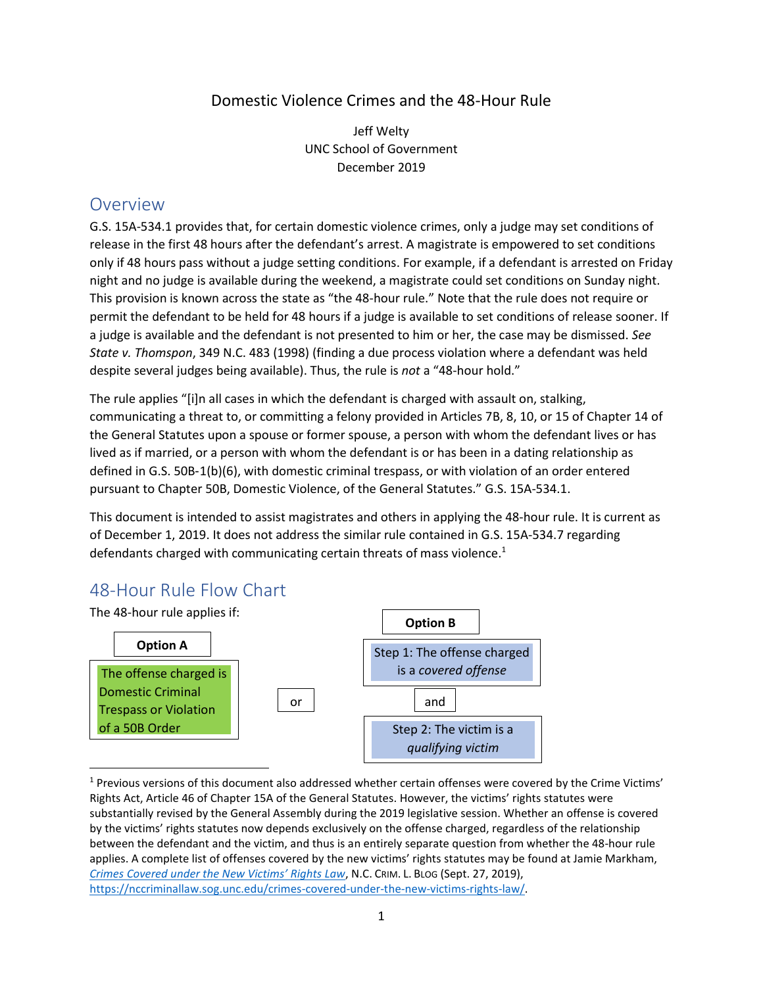## Domestic Violence Crimes and the 48-Hour Rule

Jeff Welty UNC School of Government December 2019

## **Overview**

G.S. 15A-534.1 provides that, for certain domestic violence crimes, only a judge may set conditions of release in the first 48 hours after the defendant's arrest. A magistrate is empowered to set conditions only if 48 hours pass without a judge setting conditions. For example, if a defendant is arrested on Friday night and no judge is available during the weekend, a magistrate could set conditions on Sunday night. This provision is known across the state as "the 48-hour rule." Note that the rule does not require or permit the defendant to be held for 48 hours if a judge is available to set conditions of release sooner. If a judge is available and the defendant is not presented to him or her, the case may be dismissed. *See State v. Thomspon*, 349 N.C. 483 (1998) (finding a due process violation where a defendant was held despite several judges being available). Thus, the rule is *not* a "48-hour hold."

The rule applies "[i]n all cases in which the defendant is charged with assault on, stalking, communicating a threat to, or committing a felony provided in Articles 7B, 8, 10, or 15 of Chapter 14 of the General Statutes upon a spouse or former spouse, a person with whom the defendant lives or has lived as if married, or a person with whom the defendant is or has been in a dating relationship as defined in G.S. 50B-1(b)(6), with domestic criminal trespass, or with violation of an order entered pursuant to Chapter 50B, Domestic Violence, of the General Statutes." G.S. 15A-534.1.

This document is intended to assist magistrates and others in applying the 48-hour rule. It is current as of December 1, 2019. It does not address the similar rule contained in G.S. 15A-534.7 regarding defendants charged with communicating certain threats of mass violence.<sup>1</sup>

# 48-Hour Rule Flow Chart



<sup>1</sup> Previous versions of this document also addressed whether certain offenses were covered by the Crime Victims' Rights Act, Article 46 of Chapter 15A of the General Statutes. However, the victims' rights statutes were substantially revised by the General Assembly during the 2019 legislative session. Whether an offense is covered by the victims' rights statutes now depends exclusively on the offense charged, regardless of the relationship between the defendant and the victim, and thus is an entirely separate question from whether the 48-hour rule applies. A complete list of offenses covered by the new victims' rights statutes may be found at Jamie Markham, *Crimes [Covered under the New Victims' Rights Law](https://nccriminallaw.sog.unc.edu/crimes-covered-under-the-new-victims-rights-law/)*, N.C. CRIM. L. BLOG (Sept. 27, 2019), [https://nccriminallaw.sog.unc.edu/crimes-covered-under-the-new-victims-rights-law/.](https://nccriminallaw.sog.unc.edu/crimes-covered-under-the-new-victims-rights-law/)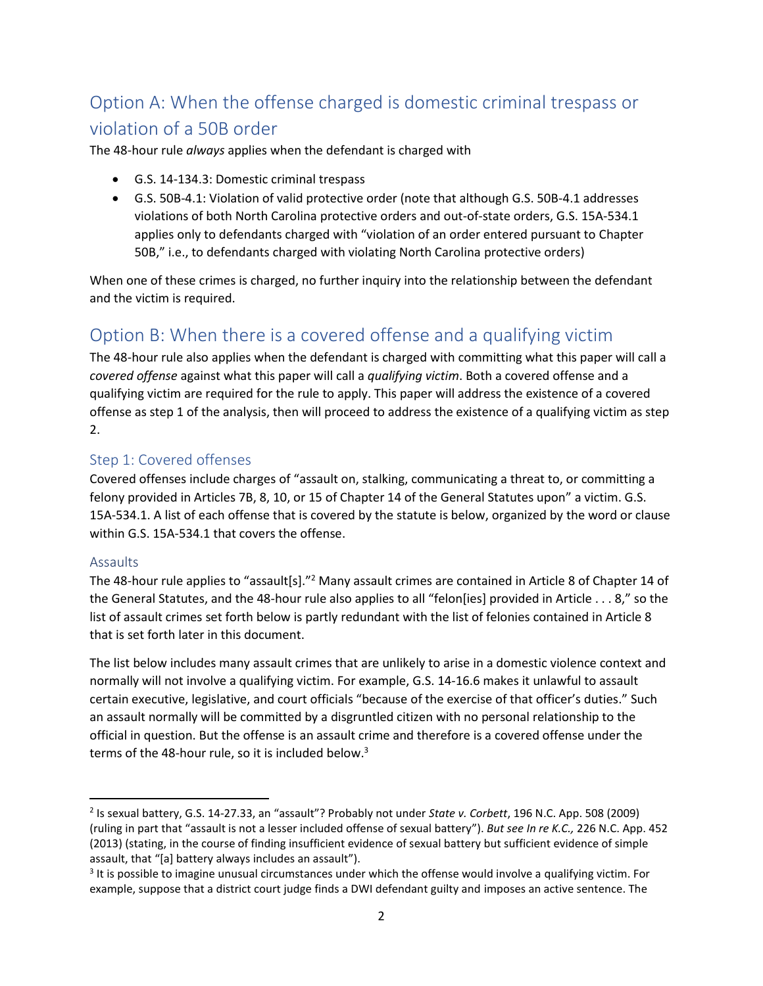# Option A: When the offense charged is domestic criminal trespass or violation of a 50B order

The 48-hour rule *always* applies when the defendant is charged with

- G.S. 14-134.3: Domestic criminal trespass
- G.S. 50B-4.1: Violation of valid protective order (note that although G.S. 50B-4.1 addresses violations of both North Carolina protective orders and out-of-state orders, G.S. 15A-534.1 applies only to defendants charged with "violation of an order entered pursuant to Chapter 50B," i.e., to defendants charged with violating North Carolina protective orders)

When one of these crimes is charged, no further inquiry into the relationship between the defendant and the victim is required.

# Option B: When there is a covered offense and a qualifying victim

The 48-hour rule also applies when the defendant is charged with committing what this paper will call a *covered offense* against what this paper will call a *qualifying victim*. Both a covered offense and a qualifying victim are required for the rule to apply. This paper will address the existence of a covered offense as step 1 of the analysis, then will proceed to address the existence of a qualifying victim as step 2.

## Step 1: Covered offenses

Covered offenses include charges of "assault on, stalking, communicating a threat to, or committing a felony provided in Articles 7B, 8, 10, or 15 of Chapter 14 of the General Statutes upon" a victim. G.S. 15A-534.1. A list of each offense that is covered by the statute is below, organized by the word or clause within G.S. 15A-534.1 that covers the offense.

#### Assaults

The 48-hour rule applies to "assault[s]."<sup>2</sup> Many assault crimes are contained in Article 8 of Chapter 14 of the General Statutes, and the 48-hour rule also applies to all "felon[ies] provided in Article . . . 8," so the list of assault crimes set forth below is partly redundant with the list of felonies contained in Article 8 that is set forth later in this document.

The list below includes many assault crimes that are unlikely to arise in a domestic violence context and normally will not involve a qualifying victim. For example, G.S. 14-16.6 makes it unlawful to assault certain executive, legislative, and court officials "because of the exercise of that officer's duties." Such an assault normally will be committed by a disgruntled citizen with no personal relationship to the official in question. But the offense is an assault crime and therefore is a covered offense under the terms of the 48-hour rule, so it is included below. $3$ 

<sup>2</sup> Is sexual battery, G.S. 14-27.33, an "assault"? Probably not under *State v. Corbett*, 196 N.C. App. 508 (2009) (ruling in part that "assault is not a lesser included offense of sexual battery"). *But see In re K.C.,* 226 N.C. App. 452 (2013) (stating, in the course of finding insufficient evidence of sexual battery but sufficient evidence of simple assault, that "[a] battery always includes an assault").

 $3$  It is possible to imagine unusual circumstances under which the offense would involve a qualifying victim. For example, suppose that a district court judge finds a DWI defendant guilty and imposes an active sentence. The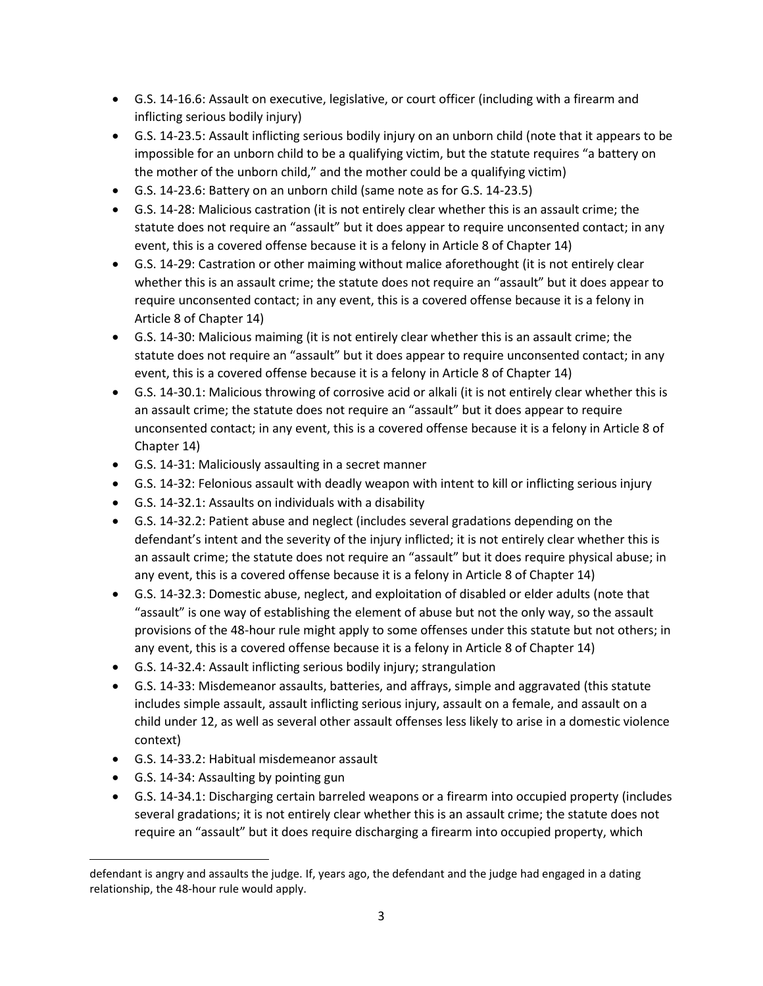- G.S. 14-16.6: Assault on executive, legislative, or court officer (including with a firearm and inflicting serious bodily injury)
- G.S. 14-23.5: Assault inflicting serious bodily injury on an unborn child (note that it appears to be impossible for an unborn child to be a qualifying victim, but the statute requires "a battery on the mother of the unborn child," and the mother could be a qualifying victim)
- G.S. 14-23.6: Battery on an unborn child (same note as for G.S. 14-23.5)
- G.S. 14-28: Malicious castration (it is not entirely clear whether this is an assault crime; the statute does not require an "assault" but it does appear to require unconsented contact; in any event, this is a covered offense because it is a felony in Article 8 of Chapter 14)
- G.S. 14-29: Castration or other maiming without malice aforethought (it is not entirely clear whether this is an assault crime; the statute does not require an "assault" but it does appear to require unconsented contact; in any event, this is a covered offense because it is a felony in Article 8 of Chapter 14)
- G.S. 14-30: Malicious maiming (it is not entirely clear whether this is an assault crime; the statute does not require an "assault" but it does appear to require unconsented contact; in any event, this is a covered offense because it is a felony in Article 8 of Chapter 14)
- G.S. 14-30.1: Malicious throwing of corrosive acid or alkali (it is not entirely clear whether this is an assault crime; the statute does not require an "assault" but it does appear to require unconsented contact; in any event, this is a covered offense because it is a felony in Article 8 of Chapter 14)
- G.S. 14-31: Maliciously assaulting in a secret manner
- G.S. 14-32: Felonious assault with deadly weapon with intent to kill or inflicting serious injury
- G.S. 14-32.1: Assaults on individuals with a disability
- G.S. 14-32.2: Patient abuse and neglect (includes several gradations depending on the defendant's intent and the severity of the injury inflicted; it is not entirely clear whether this is an assault crime; the statute does not require an "assault" but it does require physical abuse; in any event, this is a covered offense because it is a felony in Article 8 of Chapter 14)
- G.S. 14-32.3: Domestic abuse, neglect, and exploitation of disabled or elder adults (note that "assault" is one way of establishing the element of abuse but not the only way, so the assault provisions of the 48-hour rule might apply to some offenses under this statute but not others; in any event, this is a covered offense because it is a felony in Article 8 of Chapter 14)
- G.S. 14-32.4: Assault inflicting serious bodily injury; strangulation
- G.S. 14-33: Misdemeanor assaults, batteries, and affrays, simple and aggravated (this statute includes simple assault, assault inflicting serious injury, assault on a female, and assault on a child under 12, as well as several other assault offenses less likely to arise in a domestic violence context)
- G.S. 14-33.2: Habitual misdemeanor assault
- G.S. 14-34: Assaulting by pointing gun
- G.S. 14-34.1: Discharging certain barreled weapons or a firearm into occupied property (includes several gradations; it is not entirely clear whether this is an assault crime; the statute does not require an "assault" but it does require discharging a firearm into occupied property, which

defendant is angry and assaults the judge. If, years ago, the defendant and the judge had engaged in a dating relationship, the 48-hour rule would apply.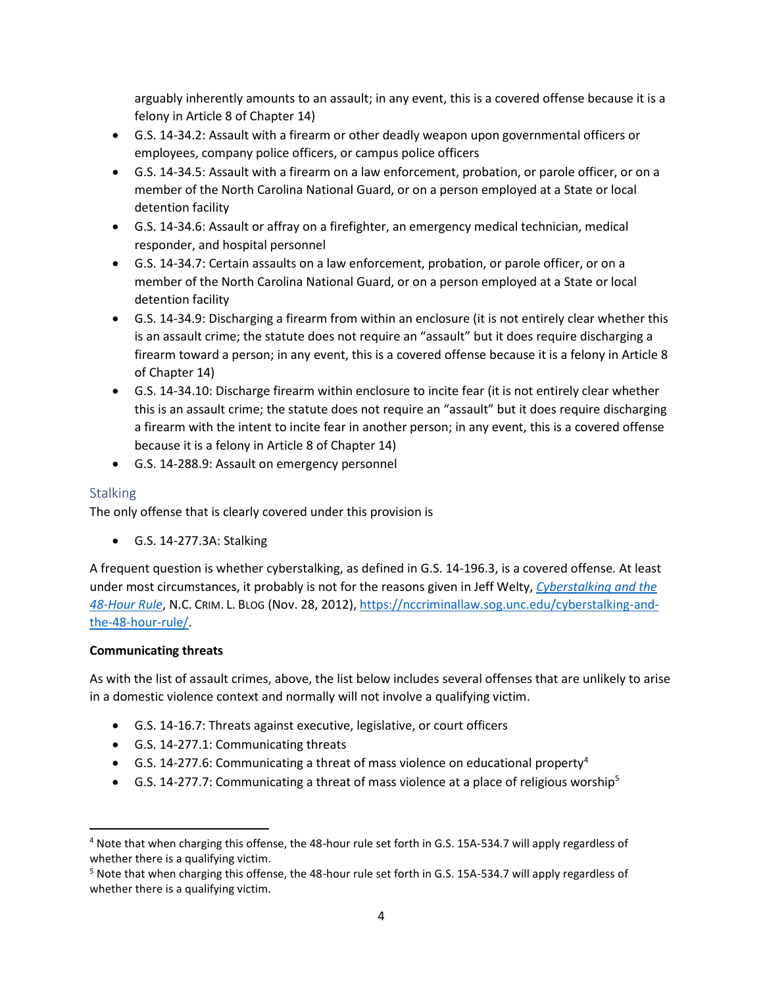arguably inherently amounts to an assault; in any event, this is a covered offense because it is a felony in Article 8 of Chapter 14)

- G.S. 14-34.2: Assault with a firearm or other deadly weapon upon governmental officers or employees, company police officers, or campus police officers
- G.S. 14-34.5: Assault with a firearm on a law enforcement, probation, or parole officer, or on a member of the North Carolina National Guard, or on a person employed at a State or local detention facility
- G.S. 14-34.6: Assault or affray on a firefighter, an emergency medical technician, medical responder, and hospital personnel
- G.S. 14-34.7: Certain assaults on a law enforcement, probation, or parole officer, or on a member of the North Carolina National Guard, or on a person employed at a State or local detention facility
- G.S. 14-34.9: Discharging a firearm from within an enclosure (it is not entirely clear whether this is an assault crime; the statute does not require an "assault" but it does require discharging a firearm toward a person; in any event, this is a covered offense because it is a felony in Article 8 of Chapter 14)
- G.S. 14-34.10: Discharge firearm within enclosure to incite fear (it is not entirely clear whether this is an assault crime; the statute does not require an "assault" but it does require discharging a firearm with the intent to incite fear in another person; in any event, this is a covered offense because it is a felony in Article 8 of Chapter 14)
- G.S. 14-288.9: Assault on emergency personnel

#### **Stalking**

The only offense that is clearly covered under this provision is

• G.S. 14-277.3A: Stalking

A frequent question is whether cyberstalking, as defined in G.S. 14-196.3, is a covered offense*.* At least under most circumstances, it probably is not for the reasons given in Jeff Welty, *[Cyberstalking and the](https://nccriminallaw.sog.unc.edu/cyberstalking-and-the-48-hour-rule/)  [48-Hour Rule](https://nccriminallaw.sog.unc.edu/cyberstalking-and-the-48-hour-rule/)*, N.C. CRIM. L. BLOG (Nov. 28, 2012), [https://nccriminallaw.sog.unc.edu/cyberstalking-and](https://nccriminallaw.sog.unc.edu/cyberstalking-and-the-48-hour-rule/)[the-48-hour-rule/.](https://nccriminallaw.sog.unc.edu/cyberstalking-and-the-48-hour-rule/)

#### **Communicating threats**

As with the list of assault crimes, above, the list below includes several offenses that are unlikely to arise in a domestic violence context and normally will not involve a qualifying victim.

- G.S. 14-16.7: Threats against executive, legislative, or court officers
- G.S. 14-277.1: Communicating threats
- G.S. 14-277.6: Communicating a threat of mass violence on educational property<sup>4</sup>
- G.S. 14-277.7: Communicating a threat of mass violence at a place of religious worship<sup>5</sup>

<sup>4</sup> Note that when charging this offense, the 48-hour rule set forth in G.S. 15A-534.7 will apply regardless of whether there is a qualifying victim.

<sup>5</sup> Note that when charging this offense, the 48-hour rule set forth in G.S. 15A-534.7 will apply regardless of whether there is a qualifying victim.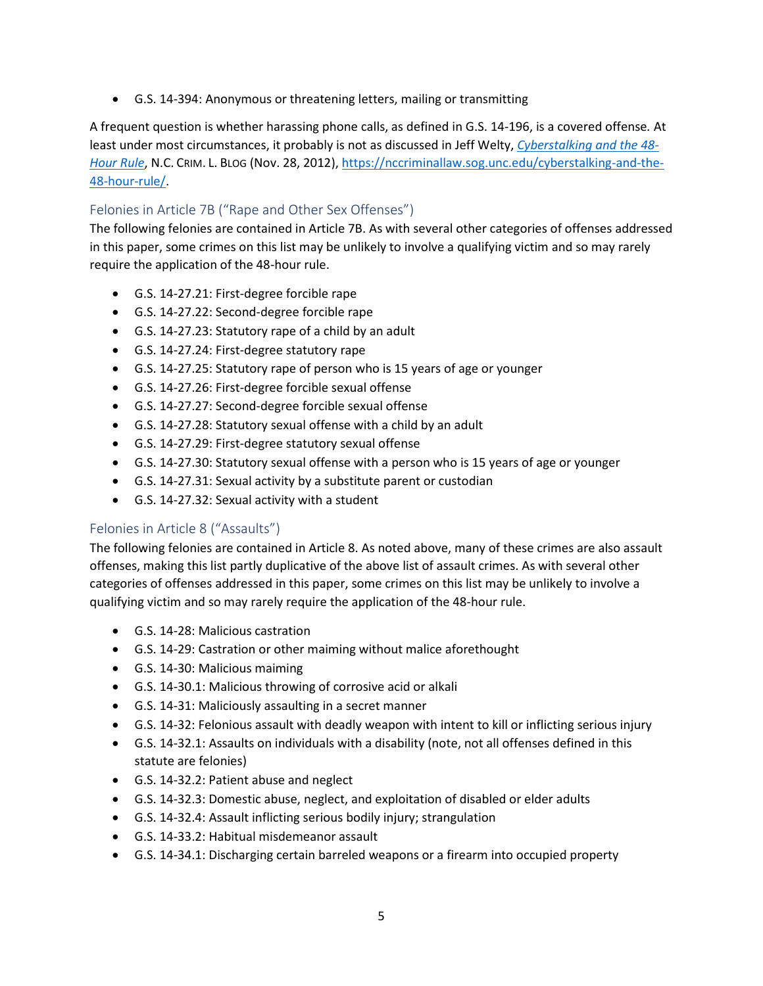• G.S. 14-394: Anonymous or threatening letters, mailing or transmitting

A frequent question is whether harassing phone calls, as defined in G.S. 14-196, is a covered offense*.* At least under most circumstances, it probably is not as discussed in Jeff Welty, *[Cyberstalking and the 48-](https://nccriminallaw.sog.unc.edu/cyberstalking-and-the-48-hour-rule/) [Hour Rule](https://nccriminallaw.sog.unc.edu/cyberstalking-and-the-48-hour-rule/)*, N.C. CRIM. L. BLOG (Nov. 28, 2012), [https://nccriminallaw.sog.unc.edu/cyberstalking-and-the-](https://nccriminallaw.sog.unc.edu/cyberstalking-and-the-48-hour-rule/)[48-hour-rule/.](https://nccriminallaw.sog.unc.edu/cyberstalking-and-the-48-hour-rule/)

## Felonies in Article 7B ("Rape and Other Sex Offenses")

The following felonies are contained in Article 7B. As with several other categories of offenses addressed in this paper, some crimes on this list may be unlikely to involve a qualifying victim and so may rarely require the application of the 48-hour rule.

- G.S. 14-27.21: First-degree forcible rape
- G.S. 14-27.22: Second-degree forcible rape
- G.S. 14-27.23: Statutory rape of a child by an adult
- G.S. 14-27.24: First-degree statutory rape
- G.S. 14-27.25: Statutory rape of person who is 15 years of age or younger
- G.S. 14-27.26: First-degree forcible sexual offense
- G.S. 14-27.27: Second-degree forcible sexual offense
- G.S. 14-27.28: Statutory sexual offense with a child by an adult
- G.S. 14-27.29: First-degree statutory sexual offense
- G.S. 14-27.30: Statutory sexual offense with a person who is 15 years of age or younger
- G.S. 14-27.31: Sexual activity by a substitute parent or custodian
- G.S. 14-27.32: Sexual activity with a student

#### Felonies in Article 8 ("Assaults")

The following felonies are contained in Article 8. As noted above, many of these crimes are also assault offenses, making this list partly duplicative of the above list of assault crimes. As with several other categories of offenses addressed in this paper, some crimes on this list may be unlikely to involve a qualifying victim and so may rarely require the application of the 48-hour rule.

- G.S. 14-28: Malicious castration
- G.S. 14-29: Castration or other maiming without malice aforethought
- G.S. 14-30: Malicious maiming
- G.S. 14-30.1: Malicious throwing of corrosive acid or alkali
- G.S. 14-31: Maliciously assaulting in a secret manner
- G.S. 14-32: Felonious assault with deadly weapon with intent to kill or inflicting serious injury
- G.S. 14-32.1: Assaults on individuals with a disability (note, not all offenses defined in this statute are felonies)
- G.S. 14-32.2: Patient abuse and neglect
- G.S. 14-32.3: Domestic abuse, neglect, and exploitation of disabled or elder adults
- G.S. 14-32.4: Assault inflicting serious bodily injury; strangulation
- G.S. 14-33.2: Habitual misdemeanor assault
- G.S. 14-34.1: Discharging certain barreled weapons or a firearm into occupied property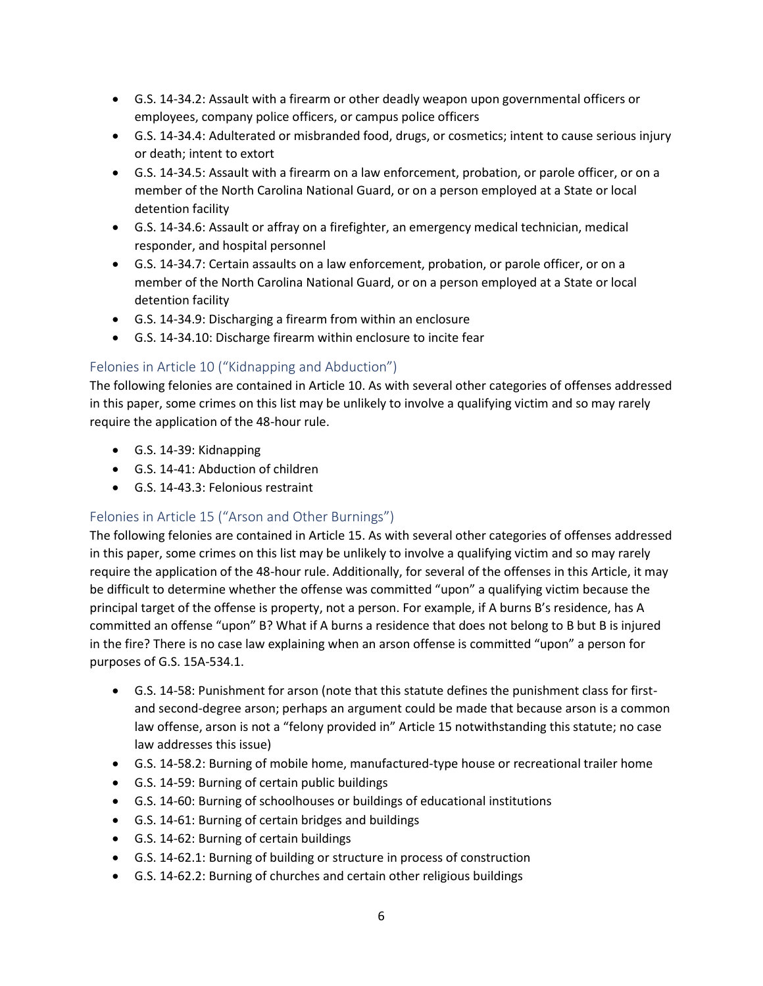- G.S. 14-34.2: Assault with a firearm or other deadly weapon upon governmental officers or employees, company police officers, or campus police officers
- G.S. 14-34.4: Adulterated or misbranded food, drugs, or cosmetics; intent to cause serious injury or death; intent to extort
- G.S. 14-34.5: Assault with a firearm on a law enforcement, probation, or parole officer, or on a member of the North Carolina National Guard, or on a person employed at a State or local detention facility
- G.S. 14-34.6: Assault or affray on a firefighter, an emergency medical technician, medical responder, and hospital personnel
- G.S. 14-34.7: Certain assaults on a law enforcement, probation, or parole officer, or on a member of the North Carolina National Guard, or on a person employed at a State or local detention facility
- G.S. 14-34.9: Discharging a firearm from within an enclosure
- G.S. 14-34.10: Discharge firearm within enclosure to incite fear

## Felonies in Article 10 ("Kidnapping and Abduction")

The following felonies are contained in Article 10. As with several other categories of offenses addressed in this paper, some crimes on this list may be unlikely to involve a qualifying victim and so may rarely require the application of the 48-hour rule.

- G.S. 14-39: Kidnapping
- G.S. 14-41: Abduction of children
- G.S. 14-43.3: Felonious restraint

## Felonies in Article 15 ("Arson and Other Burnings")

The following felonies are contained in Article 15. As with several other categories of offenses addressed in this paper, some crimes on this list may be unlikely to involve a qualifying victim and so may rarely require the application of the 48-hour rule. Additionally, for several of the offenses in this Article, it may be difficult to determine whether the offense was committed "upon" a qualifying victim because the principal target of the offense is property, not a person. For example, if A burns B's residence, has A committed an offense "upon" B? What if A burns a residence that does not belong to B but B is injured in the fire? There is no case law explaining when an arson offense is committed "upon" a person for purposes of G.S. 15A-534.1.

- G.S. 14-58: Punishment for arson (note that this statute defines the punishment class for firstand second-degree arson; perhaps an argument could be made that because arson is a common law offense, arson is not a "felony provided in" Article 15 notwithstanding this statute; no case law addresses this issue)
- G.S. 14-58.2: Burning of mobile home, manufactured-type house or recreational trailer home
- G.S. 14-59: Burning of certain public buildings
- G.S. 14-60: Burning of schoolhouses or buildings of educational institutions
- G.S. 14-61: Burning of certain bridges and buildings
- G.S. 14-62: Burning of certain buildings
- G.S. 14-62.1: Burning of building or structure in process of construction
- G.S. 14-62.2: Burning of churches and certain other religious buildings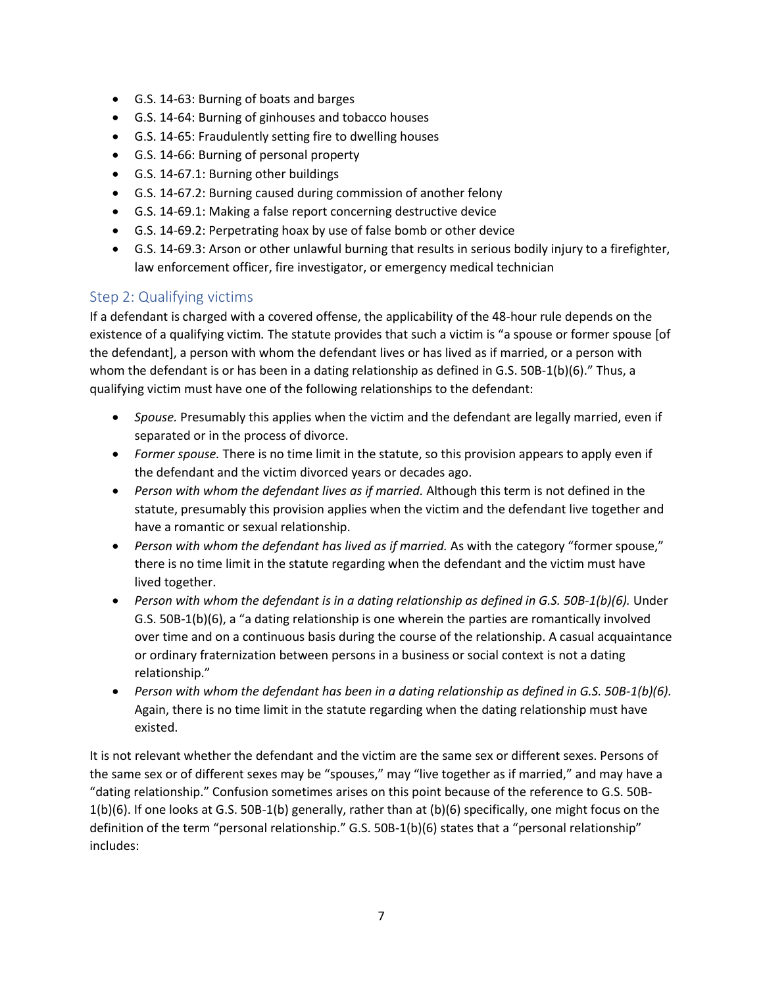- G.S. 14-63: Burning of boats and barges
- G.S. 14-64: Burning of ginhouses and tobacco houses
- G.S. 14-65: Fraudulently setting fire to dwelling houses
- G.S. 14-66: Burning of personal property
- G.S. 14-67.1: Burning other buildings
- G.S. 14-67.2: Burning caused during commission of another felony
- G.S. 14-69.1: Making a false report concerning destructive device
- G.S. 14-69.2: Perpetrating hoax by use of false bomb or other device
- G.S. 14-69.3: Arson or other unlawful burning that results in serious bodily injury to a firefighter, law enforcement officer, fire investigator, or emergency medical technician

## Step 2: Qualifying victims

If a defendant is charged with a covered offense, the applicability of the 48-hour rule depends on the existence of a qualifying victim*.* The statute provides that such a victim is "a spouse or former spouse [of the defendant], a person with whom the defendant lives or has lived as if married, or a person with whom the defendant is or has been in a dating relationship as defined in G.S. 50B-1(b)(6)." Thus, a qualifying victim must have one of the following relationships to the defendant:

- *Spouse.* Presumably this applies when the victim and the defendant are legally married, even if separated or in the process of divorce.
- *Former spouse.* There is no time limit in the statute, so this provision appears to apply even if the defendant and the victim divorced years or decades ago.
- *Person with whom the defendant lives as if married.* Although this term is not defined in the statute, presumably this provision applies when the victim and the defendant live together and have a romantic or sexual relationship.
- *Person with whom the defendant has lived as if married.* As with the category "former spouse," there is no time limit in the statute regarding when the defendant and the victim must have lived together.
- *Person with whom the defendant is in a dating relationship as defined in G.S. 50B-1(b)(6).* Under G.S. 50B-1(b)(6), a "a dating relationship is one wherein the parties are romantically involved over time and on a continuous basis during the course of the relationship. A casual acquaintance or ordinary fraternization between persons in a business or social context is not a dating relationship."
- *Person with whom the defendant has been in a dating relationship as defined in G.S. 50B-1(b)(6).* Again, there is no time limit in the statute regarding when the dating relationship must have existed.

It is not relevant whether the defendant and the victim are the same sex or different sexes. Persons of the same sex or of different sexes may be "spouses," may "live together as if married," and may have a "dating relationship." Confusion sometimes arises on this point because of the reference to G.S. 50B-1(b)(6). If one looks at G.S. 50B-1(b) generally, rather than at (b)(6) specifically, one might focus on the definition of the term "personal relationship." G.S. 50B-1(b)(6) states that a "personal relationship" includes: